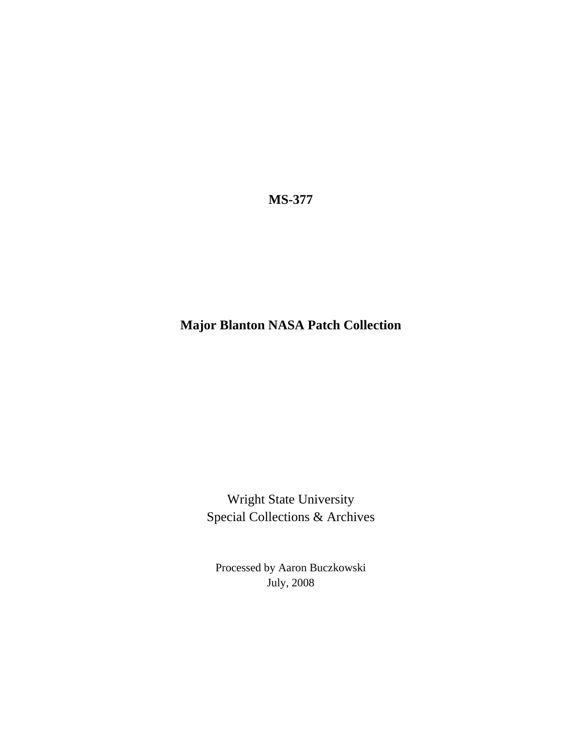**MS-377** 

## **Major Blanton NASA Patch Collection**

Wright State University Special Collections & Archives

Processed by Aaron Buczkowski July, 2008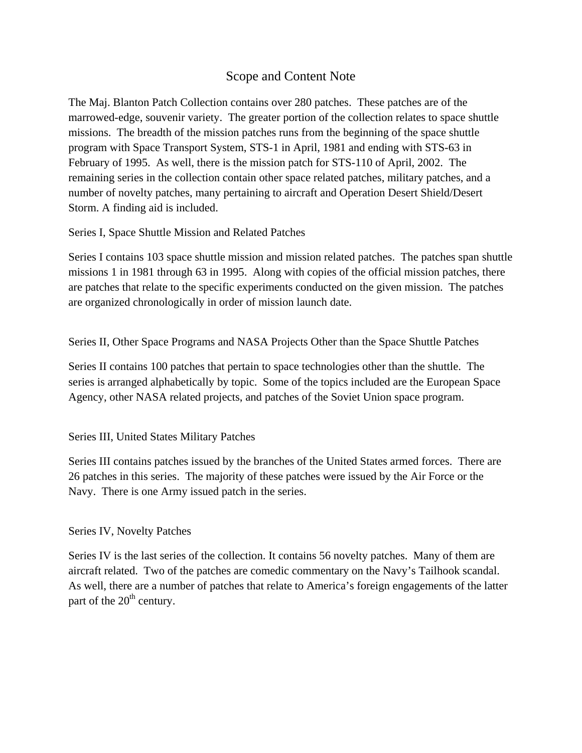#### Scope and Content Note

The Maj. Blanton Patch Collection contains over 280 patches. These patches are of the marrowed-edge, souvenir variety. The greater portion of the collection relates to space shuttle missions. The breadth of the mission patches runs from the beginning of the space shuttle program with Space Transport System, STS-1 in April, 1981 and ending with STS-63 in February of 1995. As well, there is the mission patch for STS-110 of April, 2002. The remaining series in the collection contain other space related patches, military patches, and a number of novelty patches, many pertaining to aircraft and Operation Desert Shield/Desert Storm. A finding aid is included.

Series I, Space Shuttle Mission and Related Patches

Series I contains 103 space shuttle mission and mission related patches. The patches span shuttle missions 1 in 1981 through 63 in 1995. Along with copies of the official mission patches, there are patches that relate to the specific experiments conducted on the given mission. The patches are organized chronologically in order of mission launch date.

Series II, Other Space Programs and NASA Projects Other than the Space Shuttle Patches

Series II contains 100 patches that pertain to space technologies other than the shuttle. The series is arranged alphabetically by topic. Some of the topics included are the European Space Agency, other NASA related projects, and patches of the Soviet Union space program.

Series III, United States Military Patches

Series III contains patches issued by the branches of the United States armed forces. There are 26 patches in this series. The majority of these patches were issued by the Air Force or the Navy. There is one Army issued patch in the series.

#### Series IV, Novelty Patches

Series IV is the last series of the collection. It contains 56 novelty patches. Many of them are aircraft related. Two of the patches are comedic commentary on the Navy's Tailhook scandal. As well, there are a number of patches that relate to America's foreign engagements of the latter part of the  $20<sup>th</sup>$  century.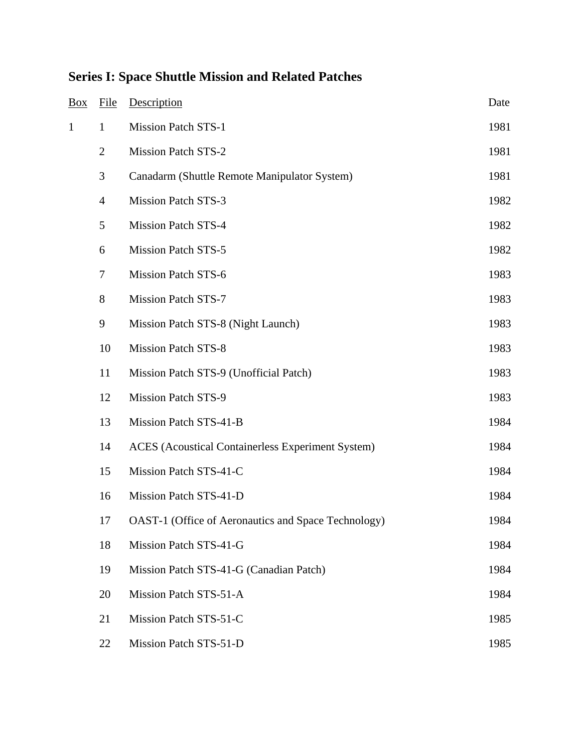| <b>Box</b>   | File           | Description                                              | Date |
|--------------|----------------|----------------------------------------------------------|------|
| $\mathbf{1}$ | $\mathbf{1}$   | <b>Mission Patch STS-1</b>                               | 1981 |
|              | $\overline{2}$ | <b>Mission Patch STS-2</b>                               | 1981 |
|              | $\mathfrak{Z}$ | Canadarm (Shuttle Remote Manipulator System)             | 1981 |
|              | $\overline{4}$ | <b>Mission Patch STS-3</b>                               | 1982 |
|              | $\mathfrak s$  | <b>Mission Patch STS-4</b>                               | 1982 |
|              | 6              | <b>Mission Patch STS-5</b>                               | 1982 |
|              | $\tau$         | <b>Mission Patch STS-6</b>                               | 1983 |
|              | 8              | <b>Mission Patch STS-7</b>                               | 1983 |
|              | 9              | Mission Patch STS-8 (Night Launch)                       | 1983 |
|              | 10             | <b>Mission Patch STS-8</b>                               | 1983 |
|              | 11             | Mission Patch STS-9 (Unofficial Patch)                   | 1983 |
|              | 12             | <b>Mission Patch STS-9</b>                               | 1983 |
|              | 13             | Mission Patch STS-41-B                                   | 1984 |
|              | 14             | <b>ACES</b> (Acoustical Containerless Experiment System) | 1984 |
|              | 15             | Mission Patch STS-41-C                                   | 1984 |
|              | 16             | Mission Patch STS-41-D                                   | 1984 |
|              | 17             | OAST-1 (Office of Aeronautics and Space Technology)      | 1984 |
|              | 18             | Mission Patch STS-41-G                                   | 1984 |
|              | 19             | Mission Patch STS-41-G (Canadian Patch)                  | 1984 |
|              | 20             | Mission Patch STS-51-A                                   | 1984 |
|              | 21             | Mission Patch STS-51-C                                   | 1985 |
|              | 22             | Mission Patch STS-51-D                                   | 1985 |

# **Series I: Space Shuttle Mission and Related Patches**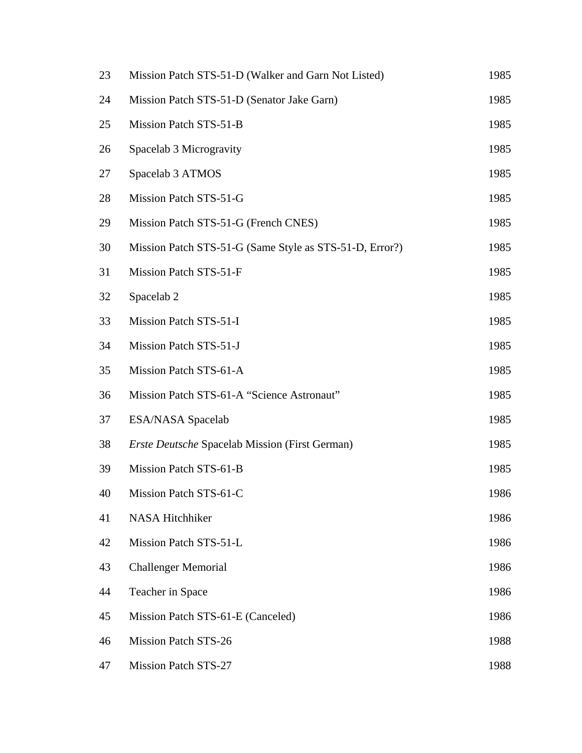| 23 | Mission Patch STS-51-D (Walker and Garn Not Listed)     | 1985 |
|----|---------------------------------------------------------|------|
| 24 | Mission Patch STS-51-D (Senator Jake Garn)              | 1985 |
| 25 | Mission Patch STS-51-B                                  | 1985 |
| 26 | Spacelab 3 Microgravity                                 | 1985 |
| 27 | Spacelab 3 ATMOS                                        | 1985 |
| 28 | Mission Patch STS-51-G                                  | 1985 |
| 29 | Mission Patch STS-51-G (French CNES)                    | 1985 |
| 30 | Mission Patch STS-51-G (Same Style as STS-51-D, Error?) | 1985 |
| 31 | Mission Patch STS-51-F                                  | 1985 |
| 32 | Spacelab <sub>2</sub>                                   | 1985 |
| 33 | Mission Patch STS-51-I                                  | 1985 |
| 34 | Mission Patch STS-51-J                                  | 1985 |
| 35 | Mission Patch STS-61-A                                  | 1985 |
| 36 | Mission Patch STS-61-A "Science Astronaut"              | 1985 |
| 37 | <b>ESA/NASA Spacelab</b>                                | 1985 |
| 38 | <b>Erste Deutsche Spacelab Mission (First German)</b>   | 1985 |
| 39 | Mission Patch STS-61-B                                  | 1985 |
| 40 | Mission Patch STS-61-C                                  | 1986 |
| 41 | NASA Hitchhiker                                         | 1986 |
| 42 | Mission Patch STS-51-L                                  | 1986 |
| 43 | <b>Challenger Memorial</b>                              | 1986 |
| 44 | Teacher in Space                                        | 1986 |
| 45 | Mission Patch STS-61-E (Canceled)                       | 1986 |
| 46 | Mission Patch STS-26                                    | 1988 |
| 47 | <b>Mission Patch STS-27</b>                             | 1988 |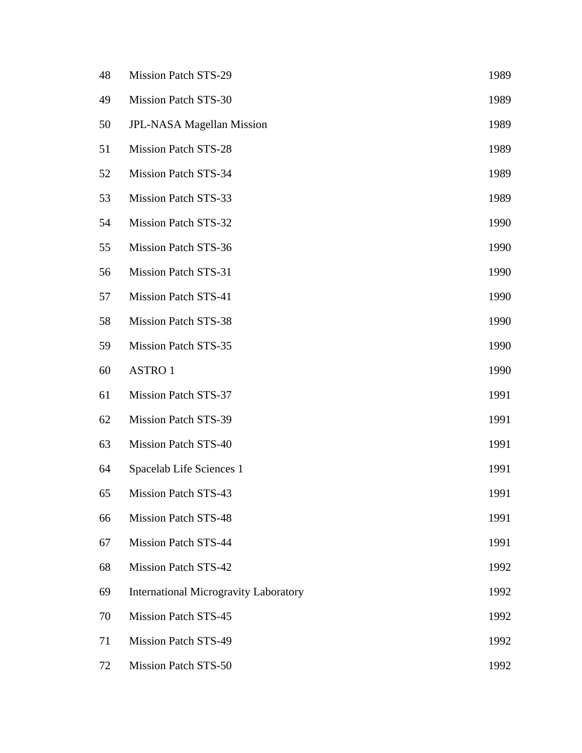| 48 | <b>Mission Patch STS-29</b>                  | 1989 |
|----|----------------------------------------------|------|
| 49 | <b>Mission Patch STS-30</b>                  | 1989 |
| 50 | <b>JPL-NASA Magellan Mission</b>             | 1989 |
| 51 | <b>Mission Patch STS-28</b>                  | 1989 |
| 52 | Mission Patch STS-34                         | 1989 |
| 53 | <b>Mission Patch STS-33</b>                  | 1989 |
| 54 | Mission Patch STS-32                         | 1990 |
| 55 | Mission Patch STS-36                         | 1990 |
| 56 | <b>Mission Patch STS-31</b>                  | 1990 |
| 57 | Mission Patch STS-41                         | 1990 |
| 58 | <b>Mission Patch STS-38</b>                  | 1990 |
| 59 | Mission Patch STS-35                         | 1990 |
| 60 | <b>ASTRO1</b>                                | 1990 |
| 61 | Mission Patch STS-37                         | 1991 |
| 62 | <b>Mission Patch STS-39</b>                  | 1991 |
| 63 | <b>Mission Patch STS-40</b>                  | 1991 |
| 64 | Spacelab Life Sciences 1                     | 1991 |
| 65 | Mission Patch STS-43                         | 1991 |
| 66 | <b>Mission Patch STS-48</b>                  | 1991 |
| 67 | <b>Mission Patch STS-44</b>                  | 1991 |
| 68 | <b>Mission Patch STS-42</b>                  | 1992 |
| 69 | <b>International Microgravity Laboratory</b> | 1992 |
| 70 | <b>Mission Patch STS-45</b>                  | 1992 |
| 71 | <b>Mission Patch STS-49</b>                  | 1992 |
| 72 | Mission Patch STS-50                         | 1992 |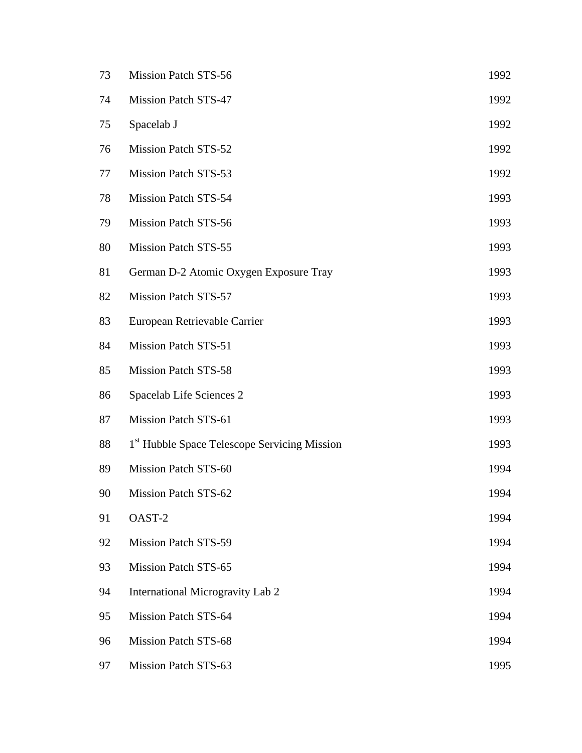| 73 | Mission Patch STS-56                         | 1992 |
|----|----------------------------------------------|------|
| 74 | Mission Patch STS-47                         | 1992 |
| 75 | Spacelab J                                   | 1992 |
| 76 | <b>Mission Patch STS-52</b>                  | 1992 |
| 77 | Mission Patch STS-53                         | 1992 |
| 78 | Mission Patch STS-54                         | 1993 |
| 79 | Mission Patch STS-56                         | 1993 |
| 80 | Mission Patch STS-55                         | 1993 |
| 81 | German D-2 Atomic Oxygen Exposure Tray       | 1993 |
| 82 | <b>Mission Patch STS-57</b>                  | 1993 |
| 83 | European Retrievable Carrier                 | 1993 |
| 84 | <b>Mission Patch STS-51</b>                  | 1993 |
| 85 | <b>Mission Patch STS-58</b>                  | 1993 |
| 86 | Spacelab Life Sciences 2                     | 1993 |
| 87 | Mission Patch STS-61                         | 1993 |
| 88 | 1st Hubble Space Telescope Servicing Mission | 1993 |
| 89 | Mission Patch STS-60                         | 1994 |
| 90 | Mission Patch STS-62                         | 1994 |
| 91 | OAST-2                                       | 1994 |
| 92 | <b>Mission Patch STS-59</b>                  | 1994 |
| 93 | <b>Mission Patch STS-65</b>                  | 1994 |
| 94 | International Microgravity Lab 2             | 1994 |
| 95 | Mission Patch STS-64                         | 1994 |
| 96 | Mission Patch STS-68                         | 1994 |
| 97 | Mission Patch STS-63                         | 1995 |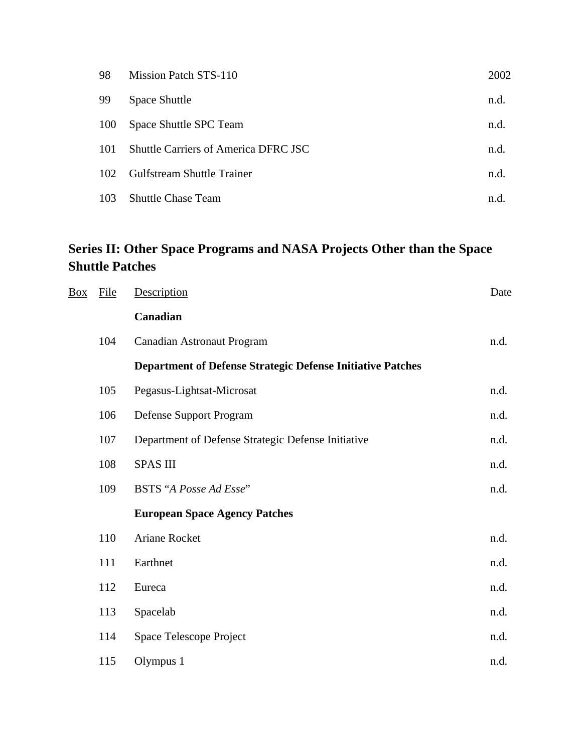| 98  | Mission Patch STS-110                       | 2002 |
|-----|---------------------------------------------|------|
| 99  | <b>Space Shuttle</b>                        | n.d. |
| 100 | Space Shuttle SPC Team                      | n.d. |
| 101 | <b>Shuttle Carriers of America DFRC JSC</b> | n.d. |
| 102 | <b>Gulfstream Shuttle Trainer</b>           | n.d. |
| 103 | <b>Shuttle Chase Team</b>                   | n.d  |

## **Series II: Other Space Programs and NASA Projects Other than the Space Shuttle Patches**

| <b>Box</b> | <b>File</b> | Description                                                       | Date |
|------------|-------------|-------------------------------------------------------------------|------|
|            |             | Canadian                                                          |      |
|            | 104         | <b>Canadian Astronaut Program</b>                                 | n.d. |
|            |             | <b>Department of Defense Strategic Defense Initiative Patches</b> |      |
|            | 105         | Pegasus-Lightsat-Microsat                                         | n.d. |
|            | 106         | Defense Support Program                                           | n.d. |
|            | 107         | Department of Defense Strategic Defense Initiative                | n.d. |
|            | 108         | <b>SPAS III</b>                                                   | n.d. |
|            | 109         | <b>BSTS</b> "A Posse Ad Esse"                                     | n.d. |
|            |             | <b>European Space Agency Patches</b>                              |      |
|            | 110         | Ariane Rocket                                                     | n.d. |
|            | 111         | Earthnet                                                          | n.d. |
|            | 112         | Eureca                                                            | n.d. |
|            | 113         | Spacelab                                                          | n.d. |
|            | 114         | Space Telescope Project                                           | n.d. |
|            | 115         | Olympus 1                                                         | n.d. |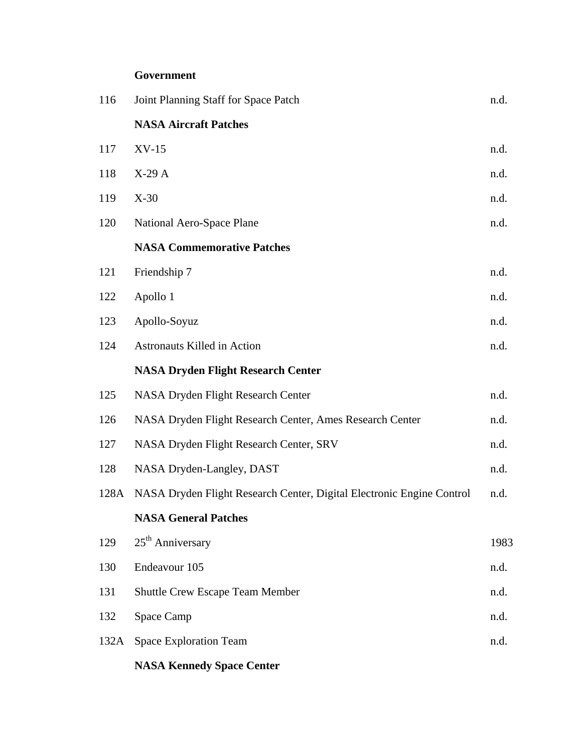### **Government**

| 116  | Joint Planning Staff for Space Patch                                  | n.d. |
|------|-----------------------------------------------------------------------|------|
|      | <b>NASA Aircraft Patches</b>                                          |      |
| 117  | $XV-15$                                                               | n.d. |
| 118  | $X-29A$                                                               | n.d. |
| 119  | $X-30$                                                                | n.d. |
| 120  | National Aero-Space Plane                                             | n.d. |
|      | <b>NASA Commemorative Patches</b>                                     |      |
| 121  | Friendship 7                                                          | n.d. |
| 122  | Apollo 1                                                              | n.d. |
| 123  | Apollo-Soyuz                                                          | n.d. |
| 124  | <b>Astronauts Killed in Action</b>                                    | n.d. |
|      | <b>NASA Dryden Flight Research Center</b>                             |      |
| 125  | NASA Dryden Flight Research Center                                    | n.d. |
| 126  | NASA Dryden Flight Research Center, Ames Research Center              | n.d. |
| 127  | NASA Dryden Flight Research Center, SRV                               | n.d. |
| 128  | NASA Dryden-Langley, DAST                                             | n.d. |
| 128A | NASA Dryden Flight Research Center, Digital Electronic Engine Control | n.d. |
|      | <b>NASA General Patches</b>                                           |      |
| 129  | $25th$ Anniversary                                                    | 1983 |
| 130  | Endeavour 105                                                         | n.d. |
| 131  | <b>Shuttle Crew Escape Team Member</b>                                | n.d. |
| 132  | Space Camp                                                            | n.d. |
| 132A | <b>Space Exploration Team</b>                                         | n.d. |
|      | <b>NASA Kennedy Space Center</b>                                      |      |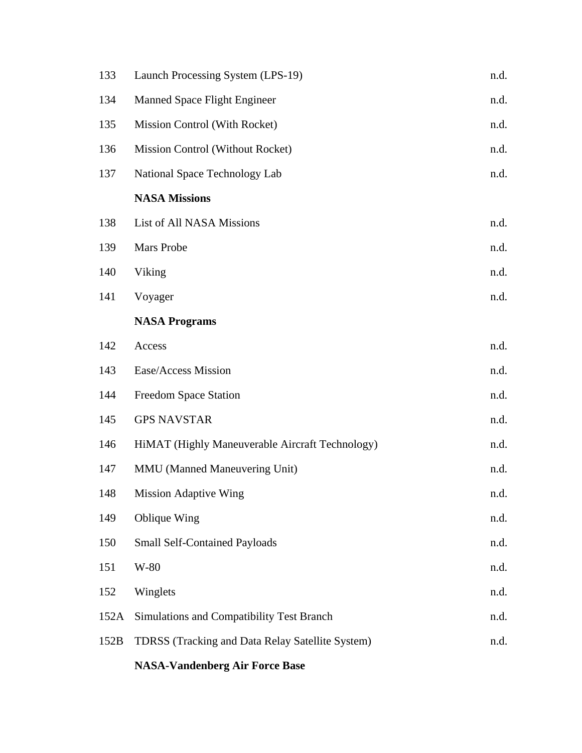| 133  | Launch Processing System (LPS-19)                       | n.d. |
|------|---------------------------------------------------------|------|
| 134  | <b>Manned Space Flight Engineer</b>                     | n.d. |
| 135  | <b>Mission Control (With Rocket)</b>                    | n.d. |
| 136  | Mission Control (Without Rocket)                        | n.d. |
| 137  | National Space Technology Lab                           | n.d. |
|      | <b>NASA Missions</b>                                    |      |
| 138  | List of All NASA Missions                               | n.d. |
| 139  | Mars Probe                                              | n.d. |
| 140  | Viking                                                  | n.d. |
| 141  | Voyager                                                 | n.d. |
|      | <b>NASA Programs</b>                                    |      |
| 142  | Access                                                  | n.d. |
| 143  | Ease/Access Mission                                     | n.d. |
| 144  | Freedom Space Station                                   | n.d. |
| 145  | <b>GPS NAVSTAR</b>                                      | n.d. |
| 146  | HiMAT (Highly Maneuverable Aircraft Technology)         | n.d. |
| 147  | MMU (Manned Maneuvering Unit)                           | n.d. |
| 148  | <b>Mission Adaptive Wing</b>                            | n.d. |
| 149  | Oblique Wing                                            | n.d. |
| 150  | <b>Small Self-Contained Payloads</b>                    | n.d. |
| 151  | W-80                                                    | n.d. |
| 152  | Winglets                                                | n.d. |
| 152A | Simulations and Compatibility Test Branch               | n.d. |
| 152B | <b>TDRSS</b> (Tracking and Data Relay Satellite System) | n.d. |
|      | <b>NASA-Vandenberg Air Force Base</b>                   |      |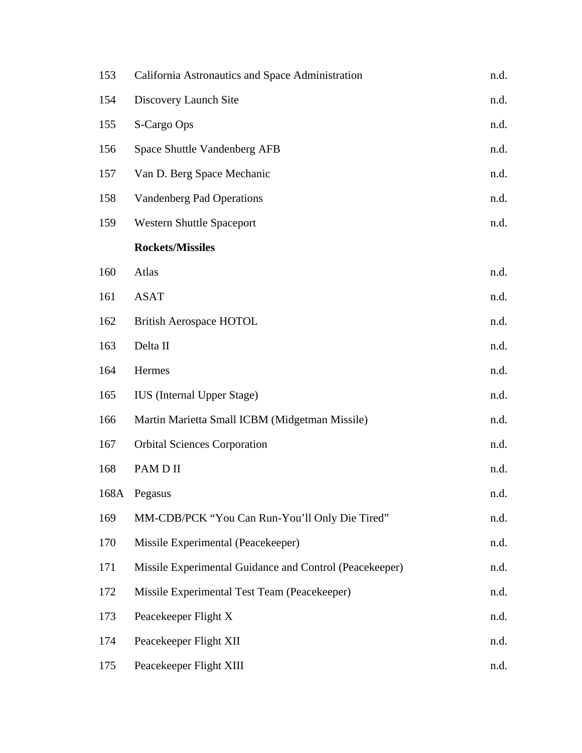| 153  | California Astronautics and Space Administration        | n.d. |
|------|---------------------------------------------------------|------|
| 154  | Discovery Launch Site                                   | n.d. |
| 155  | S-Cargo Ops                                             | n.d. |
| 156  | Space Shuttle Vandenberg AFB                            | n.d. |
| 157  | Van D. Berg Space Mechanic                              | n.d. |
| 158  | Vandenberg Pad Operations                               | n.d. |
| 159  | <b>Western Shuttle Spaceport</b>                        | n.d. |
|      | <b>Rockets/Missiles</b>                                 |      |
| 160  | Atlas                                                   | n.d. |
| 161  | <b>ASAT</b>                                             | n.d. |
| 162  | <b>British Aerospace HOTOL</b>                          | n.d. |
| 163  | Delta II                                                | n.d. |
| 164  | Hermes                                                  | n.d. |
| 165  | <b>IUS</b> (Internal Upper Stage)                       | n.d. |
| 166  | Martin Marietta Small ICBM (Midgetman Missile)          | n.d. |
| 167  | <b>Orbital Sciences Corporation</b>                     | n.d. |
| 168  | PAM D II                                                | n.d. |
| 168A | Pegasus                                                 | n.d. |
| 169  | MM-CDB/PCK "You Can Run-You'll Only Die Tired"          | n.d. |
| 170  | Missile Experimental (Peacekeeper)                      | n.d. |
| 171  | Missile Experimental Guidance and Control (Peacekeeper) | n.d. |
| 172  | Missile Experimental Test Team (Peacekeeper)            | n.d. |
| 173  | Peacekeeper Flight X                                    | n.d. |
| 174  | Peacekeeper Flight XII                                  | n.d. |
| 175  | Peacekeeper Flight XIII                                 | n.d. |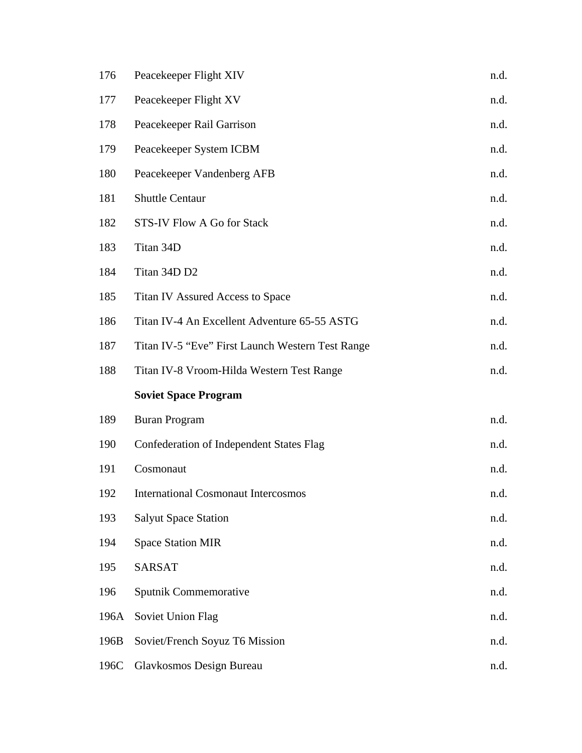| 176  | Peacekeeper Flight XIV                           | n.d. |
|------|--------------------------------------------------|------|
| 177  | Peacekeeper Flight XV                            | n.d. |
| 178  | Peacekeeper Rail Garrison                        | n.d. |
| 179  | Peacekeeper System ICBM                          | n.d. |
| 180  | Peacekeeper Vandenberg AFB                       | n.d. |
| 181  | <b>Shuttle Centaur</b>                           | n.d. |
| 182  | STS-IV Flow A Go for Stack                       | n.d. |
| 183  | Titan 34D                                        | n.d. |
| 184  | Titan 34D D2                                     | n.d. |
| 185  | Titan IV Assured Access to Space                 | n.d. |
| 186  | Titan IV-4 An Excellent Adventure 65-55 ASTG     | n.d. |
| 187  | Titan IV-5 "Eve" First Launch Western Test Range | n.d. |
| 188  | Titan IV-8 Vroom-Hilda Western Test Range        | n.d. |
|      | <b>Soviet Space Program</b>                      |      |
| 189  | <b>Buran Program</b>                             | n.d. |
| 190  | <b>Confederation of Independent States Flag</b>  | n.d. |
| 191  | Cosmonaut                                        | n.d. |
| 192  | <b>International Cosmonaut Intercosmos</b>       | n.d. |
| 193  | <b>Salyut Space Station</b>                      | n.d. |
| 194  | <b>Space Station MIR</b>                         | n.d. |
| 195  | <b>SARSAT</b>                                    | n.d. |
| 196  | Sputnik Commemorative                            | n.d. |
| 196A | Soviet Union Flag                                | n.d. |
| 196B | Soviet/French Soyuz T6 Mission                   | n.d. |
| 196C | Glavkosmos Design Bureau                         | n.d. |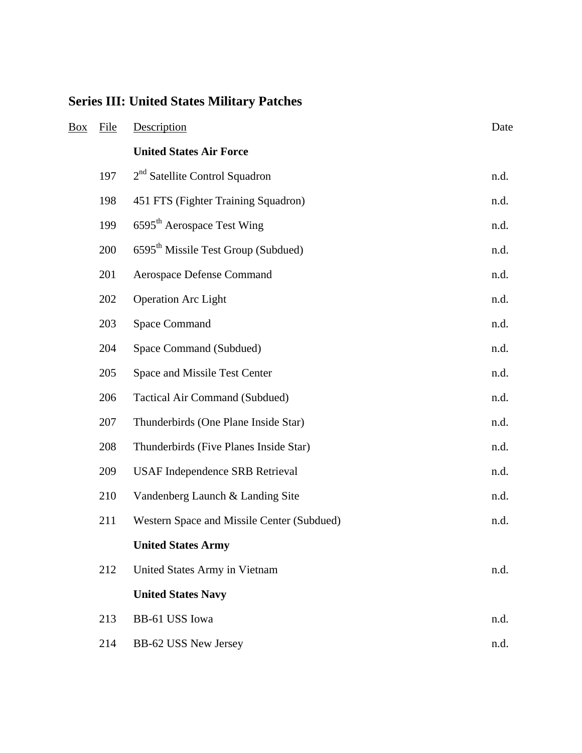# **Series III: United States Military Patches**

| Box | File | Description                                     | Date |
|-----|------|-------------------------------------------------|------|
|     |      | <b>United States Air Force</b>                  |      |
|     | 197  | $2nd$ Satellite Control Squadron                | n.d. |
|     | 198  | 451 FTS (Fighter Training Squadron)             | n.d. |
|     | 199  | 6595 <sup>th</sup> Aerospace Test Wing          | n.d. |
|     | 200  | 6595 <sup>th</sup> Missile Test Group (Subdued) | n.d. |
|     | 201  | Aerospace Defense Command                       | n.d. |
|     | 202  | <b>Operation Arc Light</b>                      | n.d. |
|     | 203  | <b>Space Command</b>                            | n.d. |
|     | 204  | Space Command (Subdued)                         | n.d. |
|     | 205  | Space and Missile Test Center                   | n.d. |
|     | 206  | <b>Tactical Air Command (Subdued)</b>           | n.d. |
|     | 207  | Thunderbirds (One Plane Inside Star)            | n.d. |
|     | 208  | Thunderbirds (Five Planes Inside Star)          | n.d. |
|     | 209  | <b>USAF Independence SRB Retrieval</b>          | n.d. |
|     | 210  | Vandenberg Launch & Landing Site                | n.d. |
|     | 211  | Western Space and Missile Center (Subdued)      | n.d. |
|     |      | <b>United States Army</b>                       |      |
|     | 212  | United States Army in Vietnam                   | n.d. |
|     |      | <b>United States Navy</b>                       |      |
|     | 213  | BB-61 USS Iowa                                  | n.d. |
|     | 214  | BB-62 USS New Jersey                            | n.d. |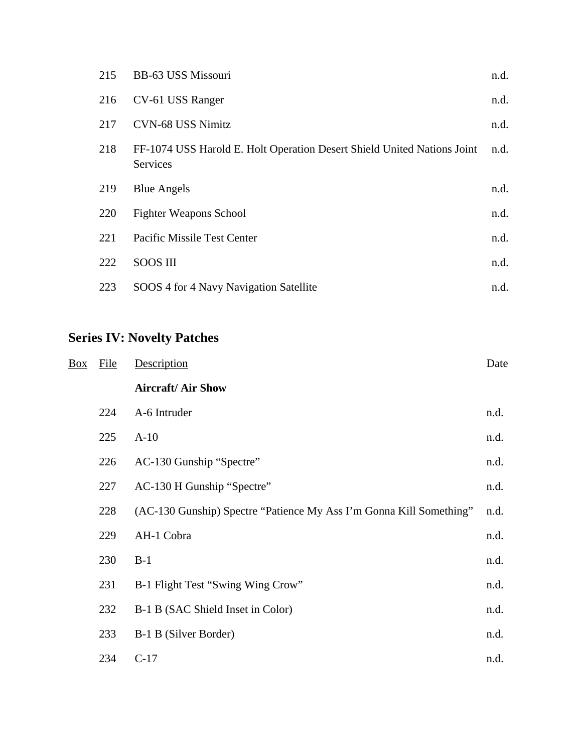| 215 | BB-63 USS Missouri                                                                  | n.d. |
|-----|-------------------------------------------------------------------------------------|------|
| 216 | CV-61 USS Ranger                                                                    | n.d. |
| 217 | <b>CVN-68 USS Nimitz</b>                                                            | n.d. |
| 218 | FF-1074 USS Harold E. Holt Operation Desert Shield United Nations Joint<br>Services | n.d. |
| 219 | <b>Blue Angels</b>                                                                  | n.d. |
| 220 | <b>Fighter Weapons School</b>                                                       | n.d. |
| 221 | Pacific Missile Test Center                                                         | n.d. |
| 222 | <b>SOOS III</b>                                                                     | n.d. |
| 223 | SOOS 4 for 4 Navy Navigation Satellite                                              | n.d. |

## **Series IV: Novelty Patches**

| Box | <b>File</b> | Description                                                         | Date |
|-----|-------------|---------------------------------------------------------------------|------|
|     |             | <b>Aircraft/Air Show</b>                                            |      |
|     | 224         | A-6 Intruder                                                        | n.d. |
|     | 225         | $A-10$                                                              | n.d. |
|     | 226         | AC-130 Gunship "Spectre"                                            | n.d. |
|     | 227         | AC-130 H Gunship "Spectre"                                          | n.d. |
|     | 228         | (AC-130 Gunship) Spectre "Patience My Ass I'm Gonna Kill Something" | n.d. |
|     | 229         | AH-1 Cobra                                                          | n.d. |
|     | 230         | $B-1$                                                               | n.d. |
|     | 231         | B-1 Flight Test "Swing Wing Crow"                                   | n.d. |
|     | 232         | B-1 B (SAC Shield Inset in Color)                                   | n.d. |
|     | 233         | B-1 B (Silver Border)                                               | n.d. |
|     | 234         | $C-17$                                                              | n.d. |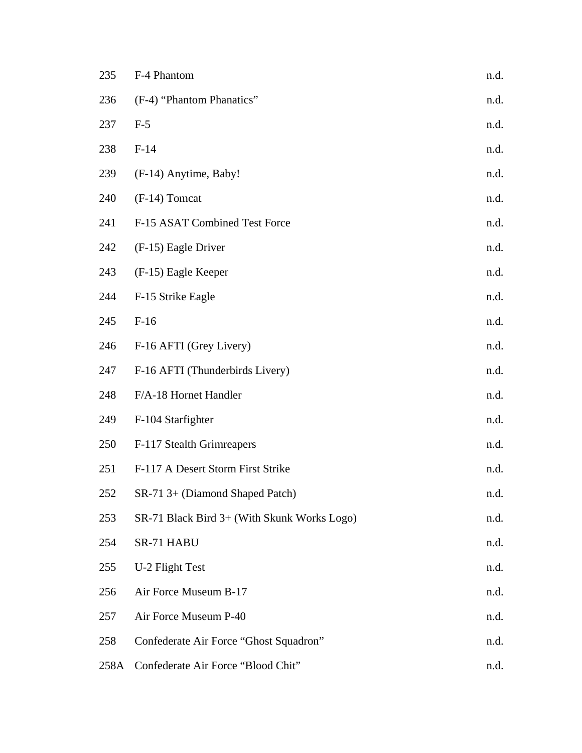| 235  | F-4 Phantom                                 | n.d. |
|------|---------------------------------------------|------|
| 236  | (F-4) "Phantom Phanatics"                   | n.d. |
| 237  | $F-5$                                       | n.d. |
| 238  | $F-14$                                      | n.d. |
| 239  | (F-14) Anytime, Baby!                       | n.d. |
| 240  | $(F-14)$ Tomcat                             | n.d. |
| 241  | F-15 ASAT Combined Test Force               | n.d. |
| 242  | (F-15) Eagle Driver                         | n.d. |
| 243  | (F-15) Eagle Keeper                         | n.d. |
| 244  | F-15 Strike Eagle                           | n.d. |
| 245  | $F-16$                                      | n.d. |
| 246  | F-16 AFTI (Grey Livery)                     | n.d. |
| 247  | F-16 AFTI (Thunderbirds Livery)             | n.d. |
| 248  | F/A-18 Hornet Handler                       | n.d. |
| 249  | F-104 Starfighter                           | n.d. |
| 250  | F-117 Stealth Grimreapers                   | n.d. |
| 251  | F-117 A Desert Storm First Strike           | n.d. |
| 252  | SR-71 3+ (Diamond Shaped Patch)             | n.d. |
| 253  | SR-71 Black Bird 3+ (With Skunk Works Logo) | n.d. |
| 254  | SR-71 HABU                                  | n.d. |
| 255  | U-2 Flight Test                             | n.d. |
| 256  | Air Force Museum B-17                       | n.d. |
| 257  | Air Force Museum P-40                       | n.d. |
| 258  | Confederate Air Force "Ghost Squadron"      | n.d. |
| 258A | Confederate Air Force "Blood Chit"          | n.d. |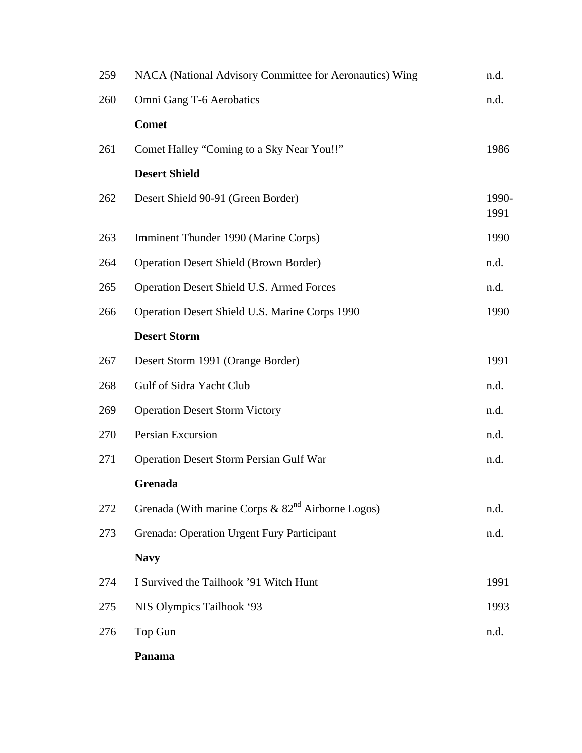| 259 | NACA (National Advisory Committee for Aeronautics) Wing          | n.d.          |
|-----|------------------------------------------------------------------|---------------|
| 260 | Omni Gang T-6 Aerobatics                                         | n.d.          |
|     | <b>Comet</b>                                                     |               |
| 261 | Comet Halley "Coming to a Sky Near You!!"                        | 1986          |
|     | <b>Desert Shield</b>                                             |               |
| 262 | Desert Shield 90-91 (Green Border)                               | 1990-<br>1991 |
| 263 | Imminent Thunder 1990 (Marine Corps)                             | 1990          |
| 264 | <b>Operation Desert Shield (Brown Border)</b>                    | n.d.          |
| 265 | Operation Desert Shield U.S. Armed Forces                        | n.d.          |
| 266 | Operation Desert Shield U.S. Marine Corps 1990                   | 1990          |
|     | <b>Desert Storm</b>                                              |               |
| 267 | Desert Storm 1991 (Orange Border)                                | 1991          |
| 268 | Gulf of Sidra Yacht Club                                         | n.d.          |
| 269 | <b>Operation Desert Storm Victory</b>                            | n.d.          |
| 270 | Persian Excursion                                                | n.d.          |
| 271 | Operation Desert Storm Persian Gulf War                          | n.d.          |
|     | Grenada                                                          |               |
| 272 | Grenada (With marine Corps $\&$ 82 <sup>nd</sup> Airborne Logos) | n.d.          |
| 273 | Grenada: Operation Urgent Fury Participant                       | n.d.          |
|     | <b>Navy</b>                                                      |               |
| 274 | I Survived the Tailhook '91 Witch Hunt                           | 1991          |
| 275 | NIS Olympics Tailhook '93                                        | 1993          |
| 276 | Top Gun                                                          | n.d.          |
|     | Panama                                                           |               |